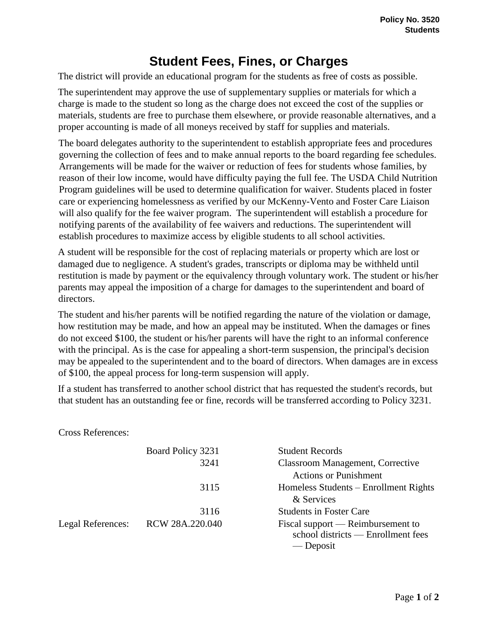## **Student Fees, Fines, or Charges**

The district will provide an educational program for the students as free of costs as possible.

The superintendent may approve the use of supplementary supplies or materials for which a charge is made to the student so long as the charge does not exceed the cost of the supplies or materials, students are free to purchase them elsewhere, or provide reasonable alternatives, and a proper accounting is made of all moneys received by staff for supplies and materials.

The board delegates authority to the superintendent to establish appropriate fees and procedures governing the collection of fees and to make annual reports to the board regarding fee schedules. Arrangements will be made for the waiver or reduction of fees for students whose families, by reason of their low income, would have difficulty paying the full fee. The USDA Child Nutrition Program guidelines will be used to determine qualification for waiver. Students placed in foster care or experiencing homelessness as verified by our McKenny-Vento and Foster Care Liaison will also qualify for the fee waiver program. The superintendent will establish a procedure for notifying parents of the availability of fee waivers and reductions. The superintendent will establish procedures to maximize access by eligible students to all school activities.

A student will be responsible for the cost of replacing materials or property which are lost or damaged due to negligence. A student's grades, transcripts or diploma may be withheld until restitution is made by payment or the equivalency through voluntary work. The student or his/her parents may appeal the imposition of a charge for damages to the superintendent and board of directors.

The student and his/her parents will be notified regarding the nature of the violation or damage, how restitution may be made, and how an appeal may be instituted. When the damages or fines do not exceed \$100, the student or his/her parents will have the right to an informal conference with the principal. As is the case for appealing a short-term suspension, the principal's decision may be appealed to the superintendent and to the board of directors. When damages are in excess of \$100, the appeal process for long-term suspension will apply.

If a student has transferred to another school district that has requested the student's records, but that student has an outstanding fee or fine, records will be transferred according to Policy 3231.

Cross References:

|                   | Board Policy 3231 | <b>Student Records</b>                                                               |
|-------------------|-------------------|--------------------------------------------------------------------------------------|
|                   | 3241              | <b>Classroom Management, Corrective</b><br><b>Actions or Punishment</b>              |
|                   | 3115              | Homeless Students – Enrollment Rights<br>& Services                                  |
|                   | 3116              | <b>Students in Foster Care</b>                                                       |
| Legal References: | RCW 28A.220.040   | Fiscal support — Reimbursement to<br>school districts — Enrollment fees<br>— Deposit |